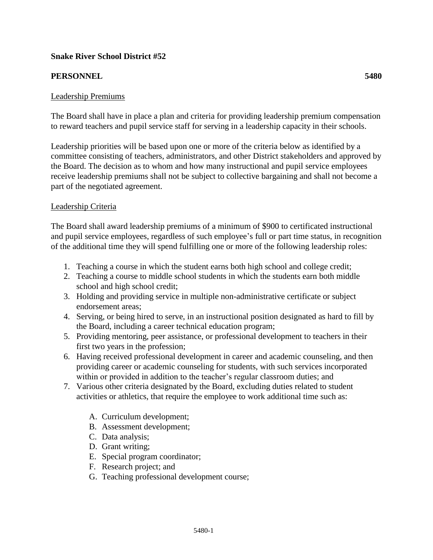# **Snake River School District #52**

# **PERSONNEL 5480**

## Leadership Premiums

The Board shall have in place a plan and criteria for providing leadership premium compensation to reward teachers and pupil service staff for serving in a leadership capacity in their schools.

Leadership priorities will be based upon one or more of the criteria below as identified by a committee consisting of teachers, administrators, and other District stakeholders and approved by the Board. The decision as to whom and how many instructional and pupil service employees receive leadership premiums shall not be subject to collective bargaining and shall not become a part of the negotiated agreement.

### Leadership Criteria

The Board shall award leadership premiums of a minimum of \$900 to certificated instructional and pupil service employees, regardless of such employee's full or part time status, in recognition of the additional time they will spend fulfilling one or more of the following leadership roles:

- 1. Teaching a course in which the student earns both high school and college credit;
- 2. Teaching a course to middle school students in which the students earn both middle school and high school credit;
- 3. Holding and providing service in multiple non-administrative certificate or subject endorsement areas;
- 4. Serving, or being hired to serve, in an instructional position designated as hard to fill by the Board, including a career technical education program;
- 5. Providing mentoring, peer assistance, or professional development to teachers in their first two years in the profession;
- 6. Having received professional development in career and academic counseling, and then providing career or academic counseling for students, with such services incorporated within or provided in addition to the teacher's regular classroom duties; and
- 7. Various other criteria designated by the Board, excluding duties related to student activities or athletics, that require the employee to work additional time such as:
	- A. Curriculum development;
	- B. Assessment development;
	- C. Data analysis;
	- D. Grant writing;
	- E. Special program coordinator;
	- F. Research project; and
	- G. Teaching professional development course;